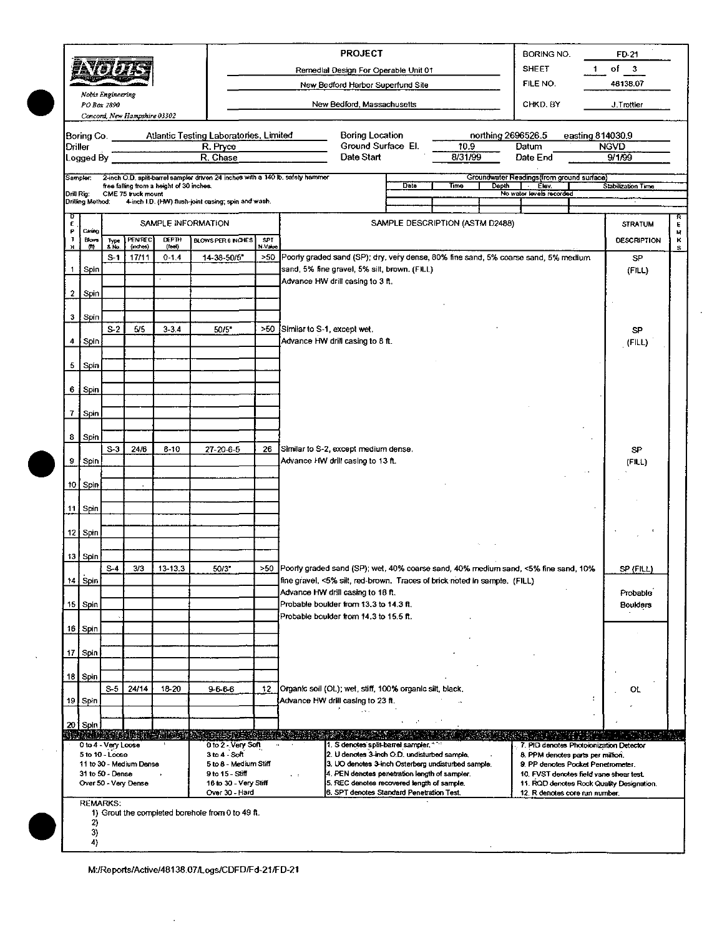|                 | 'a 159.                                                                                                                                     | 前、安安考 产于<br>Nobis Engineering<br>PO Box 2890                                |                                                                                                                                                                                                                                                                                                                                                                                                                                                                                                                                                                                                                                                                                                                                                                                                        |           |                                                                                                                                                                                                                                                            |    |                                 | <b>PROJECT</b><br>Remedial Design For Operable Unit 01<br>New Bedford Harbor Superfund Site<br>New Bedford, Massachusetts                                                                                                                                                              |                 |                    | <b>BORING NO.</b><br><b>SHEET</b><br>FILE NO.<br>CHKD, BY                                                                                                                                       |                  | FD-21<br>$of \quad 3$<br>48138.07<br>J.Trottier |              |
|-----------------|---------------------------------------------------------------------------------------------------------------------------------------------|-----------------------------------------------------------------------------|--------------------------------------------------------------------------------------------------------------------------------------------------------------------------------------------------------------------------------------------------------------------------------------------------------------------------------------------------------------------------------------------------------------------------------------------------------------------------------------------------------------------------------------------------------------------------------------------------------------------------------------------------------------------------------------------------------------------------------------------------------------------------------------------------------|-----------|------------------------------------------------------------------------------------------------------------------------------------------------------------------------------------------------------------------------------------------------------------|----|---------------------------------|----------------------------------------------------------------------------------------------------------------------------------------------------------------------------------------------------------------------------------------------------------------------------------------|-----------------|--------------------|-------------------------------------------------------------------------------------------------------------------------------------------------------------------------------------------------|------------------|-------------------------------------------------|--------------|
|                 | Concord, New Hampshire 03302<br>Atlantic Testing Laboratories, Limited<br>Boring Co.<br>R. Pryce<br><b>Driller</b><br>R. Chase<br>Logged By |                                                                             |                                                                                                                                                                                                                                                                                                                                                                                                                                                                                                                                                                                                                                                                                                                                                                                                        |           |                                                                                                                                                                                                                                                            |    |                                 | <b>Boring Location</b><br>Ground Surface El.<br>Date Start                                                                                                                                                                                                                             | 10.9<br>8/31/99 | northing 2696526.5 | Datum<br>Date End                                                                                                                                                                               | easting 814030.9 | <b>NGVD</b><br>9/1/99                           |              |
| Drill Rig:      | Sampler:<br>Drilling Method:                                                                                                                |                                                                             | 2-inch O.D. split-barrel sampler driven 24 inches with a 140 lb. safety hammer<br>Groundwater Readings (from ground surface)<br>Date<br>Stabilization Time<br>free falling from a height of 30 inches.<br>Time<br>Depth<br>Elev.<br>No water levels recorded<br>CME 75 truck mount<br>4-inch I.D. (HW) flush-joint casing; spin and wash.<br>SAMPLE DESCRIPTION (ASTM D2488)<br>SAMPLE INFORMATION<br><b>STRATUM</b><br>PENREC<br><b>DEPTH</b><br>BLOWS PER 6 INCHES<br><b>SPT</b><br><b>DESCRIPTION</b><br>Type<br>5 No<br>(inches)<br>(feel)<br>N-Value<br>>50 Poorly graded sand (SP); dry, very dense, 80% fine sand, 5% coarse sand, 5% medium<br>$S-1$<br>17/11<br>$0 - 1.4$<br>14-38-50/5"<br>SP.<br>sand, 5% fine gravel, 5% silt, brown. (FILL)<br>(FILL)<br>Advance HW drill casing to 3 ft. |           |                                                                                                                                                                                                                                                            |    |                                 |                                                                                                                                                                                                                                                                                        |                 |                    |                                                                                                                                                                                                 |                  |                                                 |              |
| υ<br>E<br>Р     | Casing                                                                                                                                      |                                                                             |                                                                                                                                                                                                                                                                                                                                                                                                                                                                                                                                                                                                                                                                                                                                                                                                        |           |                                                                                                                                                                                                                                                            |    |                                 |                                                                                                                                                                                                                                                                                        |                 |                    |                                                                                                                                                                                                 |                  |                                                 | R<br>E.<br>N |
| Ţ<br>н          | <b>Blows</b><br>m                                                                                                                           |                                                                             |                                                                                                                                                                                                                                                                                                                                                                                                                                                                                                                                                                                                                                                                                                                                                                                                        |           |                                                                                                                                                                                                                                                            |    |                                 |                                                                                                                                                                                                                                                                                        |                 |                    |                                                                                                                                                                                                 |                  |                                                 | κ<br>s       |
| 1               | Spin                                                                                                                                        |                                                                             |                                                                                                                                                                                                                                                                                                                                                                                                                                                                                                                                                                                                                                                                                                                                                                                                        |           |                                                                                                                                                                                                                                                            |    |                                 |                                                                                                                                                                                                                                                                                        |                 |                    |                                                                                                                                                                                                 |                  |                                                 |              |
| 2 <sub>1</sub>  | Spin                                                                                                                                        |                                                                             |                                                                                                                                                                                                                                                                                                                                                                                                                                                                                                                                                                                                                                                                                                                                                                                                        |           |                                                                                                                                                                                                                                                            |    |                                 |                                                                                                                                                                                                                                                                                        |                 |                    |                                                                                                                                                                                                 |                  |                                                 |              |
| 3               | Spin                                                                                                                                        |                                                                             |                                                                                                                                                                                                                                                                                                                                                                                                                                                                                                                                                                                                                                                                                                                                                                                                        |           |                                                                                                                                                                                                                                                            |    |                                 |                                                                                                                                                                                                                                                                                        |                 |                    |                                                                                                                                                                                                 |                  |                                                 |              |
| 4               | Spin                                                                                                                                        | $S-2$                                                                       | 5/5                                                                                                                                                                                                                                                                                                                                                                                                                                                                                                                                                                                                                                                                                                                                                                                                    | $3 - 3.4$ | 50/5"                                                                                                                                                                                                                                                      |    | >50 Similar to S-1, except wet. | Advance HW drill casing to 8 ft.                                                                                                                                                                                                                                                       |                 |                    |                                                                                                                                                                                                 |                  | <b>SP</b><br>(FILL)                             |              |
|                 | 5   Spin                                                                                                                                    |                                                                             |                                                                                                                                                                                                                                                                                                                                                                                                                                                                                                                                                                                                                                                                                                                                                                                                        |           |                                                                                                                                                                                                                                                            |    |                                 |                                                                                                                                                                                                                                                                                        |                 |                    |                                                                                                                                                                                                 |                  |                                                 |              |
|                 | 6 Spin                                                                                                                                      |                                                                             |                                                                                                                                                                                                                                                                                                                                                                                                                                                                                                                                                                                                                                                                                                                                                                                                        |           |                                                                                                                                                                                                                                                            |    |                                 |                                                                                                                                                                                                                                                                                        |                 |                    |                                                                                                                                                                                                 |                  |                                                 |              |
| 7               | Spin                                                                                                                                        |                                                                             |                                                                                                                                                                                                                                                                                                                                                                                                                                                                                                                                                                                                                                                                                                                                                                                                        |           |                                                                                                                                                                                                                                                            |    |                                 |                                                                                                                                                                                                                                                                                        |                 |                    |                                                                                                                                                                                                 |                  |                                                 |              |
| 8               | Spin                                                                                                                                        |                                                                             |                                                                                                                                                                                                                                                                                                                                                                                                                                                                                                                                                                                                                                                                                                                                                                                                        |           |                                                                                                                                                                                                                                                            |    |                                 |                                                                                                                                                                                                                                                                                        |                 |                    |                                                                                                                                                                                                 |                  |                                                 |              |
| 9               | Spin                                                                                                                                        | $S-3$                                                                       | 24/6                                                                                                                                                                                                                                                                                                                                                                                                                                                                                                                                                                                                                                                                                                                                                                                                   | $8 - 10$  | 27-20-6-5                                                                                                                                                                                                                                                  | 26 |                                 | Similar to S-2, except medium dense.<br>Advance HW drill casing to 13 ft.                                                                                                                                                                                                              |                 |                    |                                                                                                                                                                                                 |                  | SP<br>(FILL)                                    |              |
|                 | 10 Spin                                                                                                                                     |                                                                             |                                                                                                                                                                                                                                                                                                                                                                                                                                                                                                                                                                                                                                                                                                                                                                                                        |           |                                                                                                                                                                                                                                                            |    |                                 |                                                                                                                                                                                                                                                                                        |                 |                    |                                                                                                                                                                                                 |                  |                                                 |              |
|                 | 11 Spin                                                                                                                                     |                                                                             |                                                                                                                                                                                                                                                                                                                                                                                                                                                                                                                                                                                                                                                                                                                                                                                                        |           |                                                                                                                                                                                                                                                            |    |                                 |                                                                                                                                                                                                                                                                                        |                 |                    |                                                                                                                                                                                                 |                  |                                                 |              |
|                 | 12   Spin                                                                                                                                   |                                                                             |                                                                                                                                                                                                                                                                                                                                                                                                                                                                                                                                                                                                                                                                                                                                                                                                        |           |                                                                                                                                                                                                                                                            |    |                                 |                                                                                                                                                                                                                                                                                        |                 |                    |                                                                                                                                                                                                 |                  |                                                 |              |
| 13              | Spin                                                                                                                                        |                                                                             |                                                                                                                                                                                                                                                                                                                                                                                                                                                                                                                                                                                                                                                                                                                                                                                                        |           |                                                                                                                                                                                                                                                            |    |                                 |                                                                                                                                                                                                                                                                                        |                 |                    |                                                                                                                                                                                                 |                  |                                                 |              |
|                 | 14 Spin                                                                                                                                     | $S-4$                                                                       | 3/3                                                                                                                                                                                                                                                                                                                                                                                                                                                                                                                                                                                                                                                                                                                                                                                                    | 13-13.3   | 50/3"                                                                                                                                                                                                                                                      |    |                                 | >50 Poorty graded sand (SP); wet, 40% coarse sand, 40% medium sand, <5% fine sand, 10%<br>fine gravel, <5% silt, red-brown. Traces of brick noted in sample. (FILL)                                                                                                                    |                 |                    |                                                                                                                                                                                                 |                  | SP (FILL)                                       |              |
| 15 <sub>1</sub> | Spin                                                                                                                                        |                                                                             |                                                                                                                                                                                                                                                                                                                                                                                                                                                                                                                                                                                                                                                                                                                                                                                                        |           |                                                                                                                                                                                                                                                            |    |                                 | Advance HW drill casing to 18 ft.<br>Probable boulder from 13.3 to 14.3 ft.                                                                                                                                                                                                            |                 |                    |                                                                                                                                                                                                 |                  | Probable<br><b>Boulders</b>                     |              |
|                 | 16 Spin                                                                                                                                     |                                                                             |                                                                                                                                                                                                                                                                                                                                                                                                                                                                                                                                                                                                                                                                                                                                                                                                        |           |                                                                                                                                                                                                                                                            |    |                                 | Probable boulder from 14.3 to 15.5 ft.                                                                                                                                                                                                                                                 |                 |                    |                                                                                                                                                                                                 |                  |                                                 |              |
|                 | 17 Spin                                                                                                                                     |                                                                             |                                                                                                                                                                                                                                                                                                                                                                                                                                                                                                                                                                                                                                                                                                                                                                                                        |           |                                                                                                                                                                                                                                                            |    |                                 |                                                                                                                                                                                                                                                                                        |                 |                    |                                                                                                                                                                                                 |                  |                                                 |              |
|                 | 18 Spin                                                                                                                                     |                                                                             |                                                                                                                                                                                                                                                                                                                                                                                                                                                                                                                                                                                                                                                                                                                                                                                                        |           |                                                                                                                                                                                                                                                            |    |                                 |                                                                                                                                                                                                                                                                                        |                 |                    |                                                                                                                                                                                                 |                  |                                                 |              |
|                 | 19 Spin                                                                                                                                     | $S-5$                                                                       | 24/14                                                                                                                                                                                                                                                                                                                                                                                                                                                                                                                                                                                                                                                                                                                                                                                                  | 18-20     | $9-6-6-6$                                                                                                                                                                                                                                                  | 12 |                                 | Organic soil (OL); wet, stiff, 100% organic silt, black.<br>Advance HW drill casing to 23 ft.                                                                                                                                                                                          |                 |                    |                                                                                                                                                                                                 |                  | ol                                              |              |
|                 | 20   Spin                                                                                                                                   |                                                                             |                                                                                                                                                                                                                                                                                                                                                                                                                                                                                                                                                                                                                                                                                                                                                                                                        |           |                                                                                                                                                                                                                                                            |    |                                 |                                                                                                                                                                                                                                                                                        |                 |                    |                                                                                                                                                                                                 |                  |                                                 |              |
|                 |                                                                                                                                             | 0 to 4 - Very Loose<br>5 to 10 - Loose<br>31 to 50 Dense<br><b>REMARKS:</b> | 11 to 30 - Medium Dense<br>Over 50 - Very Dense                                                                                                                                                                                                                                                                                                                                                                                                                                                                                                                                                                                                                                                                                                                                                        |           | n shah berdakan bahasa yang berdasa dalam bahasa dan bahasa dalam bahasa<br>0 to 2 - Very Soft<br>3 to 4 - Soft<br>5 to 8 - Medium Stiff<br>9 to 15 - Stiff<br>16 to 30 - Very Stiff<br>Over 30 - Hard<br>1) Grout the completed borehole from 0 to 49 ft. |    | $\mathbf{v}=\mathbf{t}$         | 1. S denotes split-barrel sampler, "<br>2. U denotes 3-inch O.D. undisturbed sample.<br>3. UO denotes 3-inch Osterberg undisturbed sample.<br>4. PEN denotes penetration length of sampler.<br>5. REC denotes recovered length of sample.<br>6. SPT denotes Standard Penetration Test. |                 |                    | 7. PID denotes Photoionization Detector<br>8. PPM denotes parts per million.<br>9. PP denotes Pocket Penetrometer.<br>10. FVST denotes field vane shear test.<br>12. R denotes core run number. | 39. 郭靖 (1888)    | 11. ROD denotes Rock Quality Designation.       |              |
|                 | 2)<br>3)<br>4)                                                                                                                              |                                                                             |                                                                                                                                                                                                                                                                                                                                                                                                                                                                                                                                                                                                                                                                                                                                                                                                        |           |                                                                                                                                                                                                                                                            |    |                                 |                                                                                                                                                                                                                                                                                        |                 |                    |                                                                                                                                                                                                 |                  |                                                 |              |

 $\hat{\boldsymbol{\epsilon}}$ 

 $\lambda$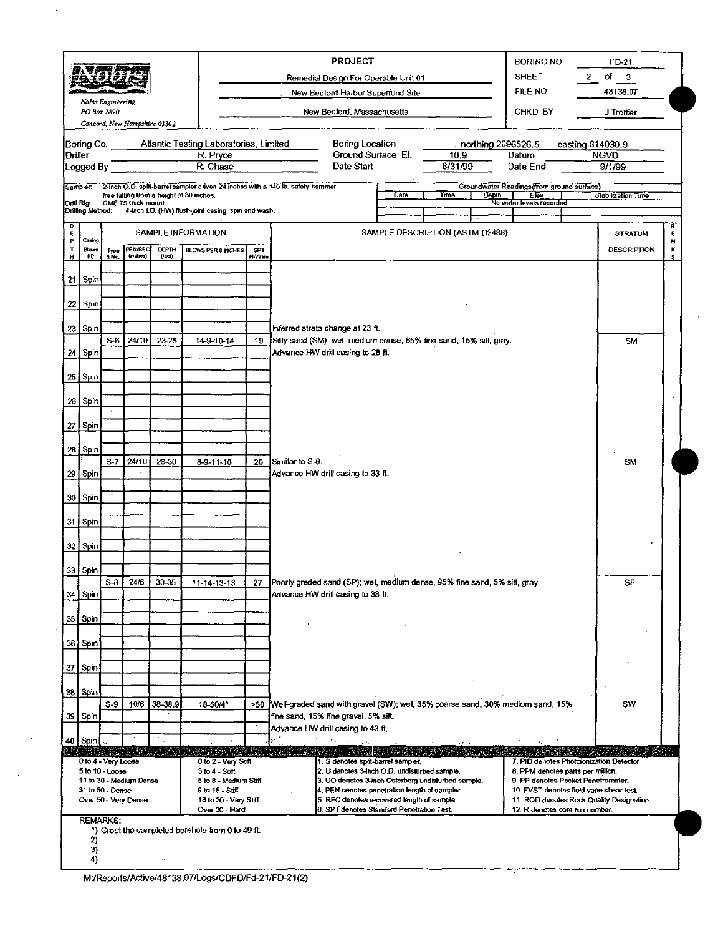|                                                                                         |                                | 的复数形式               |                                                                                                     |                                                                               |                                                     |                                   | <b>PROJECT</b><br>Remedial Design For Operable Unit 01                                                         |                                                                                         | BORING NO.<br><b>SHEET</b>                                                  | FD-21<br>$of \quad 3$<br>2      |
|-----------------------------------------------------------------------------------------|--------------------------------|---------------------|-----------------------------------------------------------------------------------------------------|-------------------------------------------------------------------------------|-----------------------------------------------------|-----------------------------------|----------------------------------------------------------------------------------------------------------------|-----------------------------------------------------------------------------------------|-----------------------------------------------------------------------------|---------------------------------|
| øelaitän                                                                                |                                |                     |                                                                                                     |                                                                               |                                                     | New Bedford Harbor Superfund Site | FILE NO.                                                                                                       | 48138.07                                                                                |                                                                             |                                 |
| Nobis Engineering<br>PO Box 2890<br>Concord, New Hampshire 03302                        |                                |                     |                                                                                                     |                                                                               |                                                     |                                   | New Bedford, Massachusetts                                                                                     | CHKD BY                                                                                 | J.Trottier                                                                  |                                 |
|                                                                                         |                                |                     |                                                                                                     |                                                                               |                                                     |                                   |                                                                                                                |                                                                                         |                                                                             |                                 |
| Driller                                                                                 | Boring Co.                     |                     |                                                                                                     |                                                                               | Atlantic Testing Laboratories, Limited<br>R. Pryce  |                                   | Boring Location<br>Ground Surface El.                                                                          | 10.9 <sub>1</sub>                                                                       | . northing 2696526.5<br>Datum                                               | easting 814030.9<br><b>NGVD</b> |
|                                                                                         | Logged By                      |                     |                                                                                                     |                                                                               | R. Chase                                            |                                   | Date Start                                                                                                     | 8/31/99                                                                                 | Date End                                                                    | 9/1/99                          |
|                                                                                         | Sampler:                       |                     |                                                                                                     |                                                                               |                                                     |                                   | 2-inch O.D. split-barrel sampler driven 24 inches with a 140 lb. safety harnmer                                |                                                                                         | Groundwater Readings (from ground surface)                                  |                                 |
|                                                                                         | Drill Rig:<br>Drilling Method: |                     | CME 75 truck mount                                                                                  | free falting from a height of 30 inches.                                      | 4-inch i.D. (HW) flush-joint casing; spin and wash. |                                   |                                                                                                                | Date<br>Tuno                                                                            | <b>Depth</b><br>Elev.<br>No water levels recorded                           | Stabilization Time              |
| D<br>E                                                                                  |                                |                     |                                                                                                     |                                                                               |                                                     |                                   |                                                                                                                | SAMPLE DESCRIPTION (ASTM D2488)                                                         |                                                                             |                                 |
| ₽<br>т                                                                                  | Cesing<br><b>Blows</b>         |                     | <b>PENAREC</b>                                                                                      | DEPTH                                                                         | SAMPLE INFORMATION<br><b>BLOWS PER 6 INCHES</b>     | SPT.                              |                                                                                                                |                                                                                         |                                                                             | <b>STRATUM</b><br>DESCRIPTION   |
|                                                                                         | (M)                            | Type<br>& No        | (mches)                                                                                             | (led)                                                                         |                                                     | N-Value                           |                                                                                                                |                                                                                         |                                                                             |                                 |
|                                                                                         | $21$ Spin                      |                     |                                                                                                     |                                                                               |                                                     |                                   |                                                                                                                |                                                                                         |                                                                             |                                 |
|                                                                                         | 22 Spin                        |                     |                                                                                                     |                                                                               |                                                     |                                   |                                                                                                                |                                                                                         |                                                                             |                                 |
|                                                                                         |                                |                     |                                                                                                     |                                                                               |                                                     |                                   |                                                                                                                |                                                                                         |                                                                             |                                 |
|                                                                                         | 23 Spin                        | $S-6$               | 24/10                                                                                               | 23-25                                                                         | 14-9-10-14                                          | 19                                | Inferred strata change at 23 ft.<br>Silty sand (SM); wet, medium dense, 85% fine sand, 15% silt, gray.         |                                                                                         |                                                                             | <b>SM</b>                       |
|                                                                                         | 24 Spin                        |                     |                                                                                                     |                                                                               |                                                     |                                   | Advance HW drill casing to 28 ft.                                                                              |                                                                                         |                                                                             |                                 |
|                                                                                         | 25   Spin                      |                     |                                                                                                     |                                                                               |                                                     |                                   |                                                                                                                |                                                                                         |                                                                             |                                 |
|                                                                                         |                                |                     |                                                                                                     |                                                                               |                                                     |                                   |                                                                                                                |                                                                                         |                                                                             |                                 |
|                                                                                         | 26 Spin                        |                     |                                                                                                     |                                                                               |                                                     |                                   |                                                                                                                |                                                                                         |                                                                             |                                 |
|                                                                                         | 27   Spin                      |                     |                                                                                                     |                                                                               |                                                     |                                   |                                                                                                                |                                                                                         |                                                                             |                                 |
|                                                                                         | 28 Spin                        |                     |                                                                                                     |                                                                               |                                                     |                                   |                                                                                                                |                                                                                         |                                                                             |                                 |
|                                                                                         |                                | $S-7$               | 24/10                                                                                               | 28-30                                                                         | $8 - 9 - 11 - 10$                                   | 20                                | Similar to S-6.                                                                                                |                                                                                         |                                                                             | SM                              |
|                                                                                         | 29   Spin                      |                     |                                                                                                     |                                                                               |                                                     |                                   | Advance HW drill casing to 33 ft.                                                                              |                                                                                         |                                                                             |                                 |
|                                                                                         | 30   Spin                      |                     |                                                                                                     |                                                                               |                                                     |                                   |                                                                                                                |                                                                                         |                                                                             |                                 |
|                                                                                         | 31 Spin                        |                     |                                                                                                     |                                                                               |                                                     |                                   |                                                                                                                |                                                                                         |                                                                             |                                 |
|                                                                                         |                                |                     |                                                                                                     |                                                                               |                                                     |                                   |                                                                                                                |                                                                                         |                                                                             |                                 |
|                                                                                         | 32 Spin                        |                     |                                                                                                     |                                                                               |                                                     |                                   |                                                                                                                |                                                                                         |                                                                             |                                 |
|                                                                                         | 33 Spin                        |                     |                                                                                                     |                                                                               |                                                     |                                   |                                                                                                                |                                                                                         |                                                                             |                                 |
|                                                                                         | 34   Spin                      | $S - 8$             | 24/6                                                                                                | 33-35                                                                         | <u>11-14-13-13 </u>                                 | 27                                | Poorly graded sand (SP); wet, medium dense, 95% fine sand, 5% silt, gray.<br>Advance HW drill casing to 38 ft. |                                                                                         |                                                                             | SP                              |
|                                                                                         |                                |                     |                                                                                                     |                                                                               |                                                     |                                   |                                                                                                                |                                                                                         |                                                                             |                                 |
|                                                                                         | 35 Spin                        |                     |                                                                                                     |                                                                               |                                                     |                                   |                                                                                                                |                                                                                         |                                                                             |                                 |
|                                                                                         | 36   Spin                      |                     |                                                                                                     |                                                                               |                                                     |                                   |                                                                                                                |                                                                                         |                                                                             |                                 |
|                                                                                         | 37   Spin                      |                     |                                                                                                     |                                                                               |                                                     |                                   |                                                                                                                |                                                                                         |                                                                             |                                 |
|                                                                                         |                                |                     |                                                                                                     |                                                                               |                                                     |                                   |                                                                                                                |                                                                                         |                                                                             |                                 |
|                                                                                         | 38 Spin                        | $S-9$               | 10/6                                                                                                | 38-38.9                                                                       | 18-50/4"                                            |                                   | >50 Well-graded sand with gravel (SW); wet, 35% coarse sand, 30% medium sand, 15%                              |                                                                                         |                                                                             | SW                              |
|                                                                                         | 39 Spin                        |                     |                                                                                                     |                                                                               |                                                     |                                   | fine sand, 15% fine gravel, 5% silt.                                                                           |                                                                                         |                                                                             |                                 |
|                                                                                         | 40 Spin                        |                     |                                                                                                     | ÷.                                                                            |                                                     |                                   | Advance HW drill casing to 43 ft.                                                                              |                                                                                         |                                                                             |                                 |
|                                                                                         |                                | 0 to 4 - Very Loose |                                                                                                     |                                                                               | STREAM AN THRENDS<br>0 to 2 - Very Soft             |                                   | 1. S denotes split-barrel sampler.                                                                             |                                                                                         | 7. PID denotes Photoionization Detector                                     |                                 |
|                                                                                         |                                | 5 to 10 - Loose     |                                                                                                     |                                                                               | $3 to 4 - Soft$                                     |                                   | 2. U denotes 3-inch O.D. undisturbed sample.                                                                   | 8. PPM denotes parts per million.                                                       |                                                                             |                                 |
| 11 to 30 - Medium Dense<br>5 to 8 - Medium Stiff<br>31 to 50 - Dense<br>9 to 15 - Still |                                |                     | 3. UO denotes 3-inch Osterberg undisturbed sample.<br>4. PEN denotes penetration length of sampler. | 9. PP denotes Pocket Penetrometer.<br>10. FVST denotes field vane shear test. |                                                     |                                   |                                                                                                                |                                                                                         |                                                                             |                                 |
|                                                                                         |                                |                     | Over 50 - Very Dense                                                                                |                                                                               | 16 to 30 - Very Stiff<br>Over 30 - Hard             |                                   |                                                                                                                | 5. REC denotes recovered length of sample.<br>6. SPT denotes Standard Penetration Test. | 11. RQD denotes Rock Quality Designation.<br>12. R denotes core run number. |                                 |

| M:/Reports/Active/48138.07/Logs/CDFD/Fd-21/FD-21(2) |  |
|-----------------------------------------------------|--|

 $\overline{\phantom{a}}$ 

l.